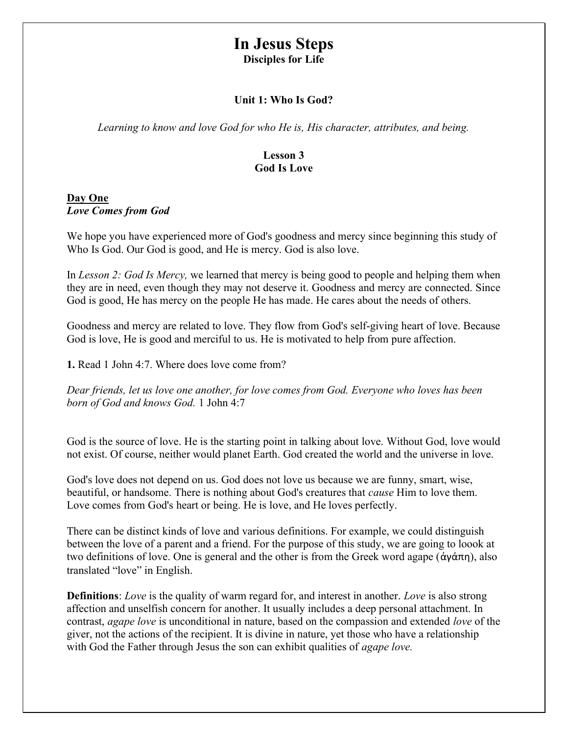# In Jesus Steps

Disciples for Life

### Unit 1: Who Is God?

Learning to know and love God for who He is, His character, attributes, and being.

# Lesson 3 God Is Love

# Day One Love Comes from God

We hope you have experienced more of God's goodness and mercy since beginning this study of Who Is God. Our God is good, and He is mercy. God is also love.

In Lesson 2: God Is Mercy, we learned that mercy is being good to people and helping them when they are in need, even though they may not deserve it. Goodness and mercy are connected. Since God is good, He has mercy on the people He has made. He cares about the needs of others.

Goodness and mercy are related to love. They flow from God's self-giving heart of love. Because God is love, He is good and merciful to us. He is motivated to help from pure affection.

1. Read 1 John 4:7. Where does love come from?

Dear friends, let us love one another, for love comes from God. Everyone who loves has been born of God and knows God. 1 John 4:7

God is the source of love. He is the starting point in talking about love. Without God, love would not exist. Of course, neither would planet Earth. God created the world and the universe in love.

God's love does not depend on us. God does not love us because we are funny, smart, wise, beautiful, or handsome. There is nothing about God's creatures that *cause* Him to love them. Love comes from God's heart or being. He is love, and He loves perfectly.

There can be distinct kinds of love and various definitions. For example, we could distinguish between the love of a parent and a friend. For the purpose of this study, we are going to loook at two definitions of love. One is general and the other is from the Greek word agape (ἀγάπη), also translated "love" in English.

**Definitions:** Love is the quality of warm regard for, and interest in another. Love is also strong affection and unselfish concern for another. It usually includes a deep personal attachment. In contrast, agape love is unconditional in nature, based on the compassion and extended love of the giver, not the actions of the recipient. It is divine in nature, yet those who have a relationship with God the Father through Jesus the son can exhibit qualities of *agape love*.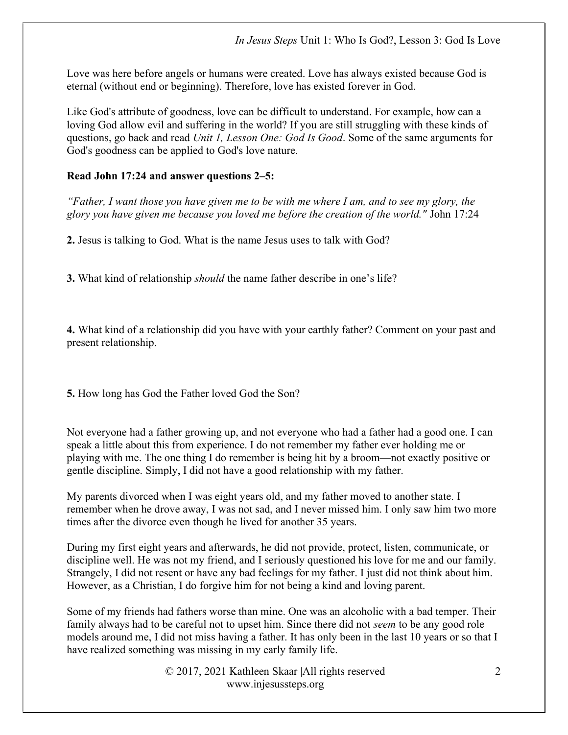Love was here before angels or humans were created. Love has always existed because God is eternal (without end or beginning). Therefore, love has existed forever in God.

Like God's attribute of goodness, love can be difficult to understand. For example, how can a loving God allow evil and suffering in the world? If you are still struggling with these kinds of questions, go back and read Unit 1, Lesson One: God Is Good. Some of the same arguments for God's goodness can be applied to God's love nature.

# Read John 17:24 and answer questions 2–5:

"Father, I want those you have given me to be with me where I am, and to see my glory, the glory you have given me because you loved me before the creation of the world." John 17:24

2. Jesus is talking to God. What is the name Jesus uses to talk with God?

3. What kind of relationship should the name father describe in one's life?

4. What kind of a relationship did you have with your earthly father? Comment on your past and present relationship.

5. How long has God the Father loved God the Son?

Not everyone had a father growing up, and not everyone who had a father had a good one. I can speak a little about this from experience. I do not remember my father ever holding me or playing with me. The one thing I do remember is being hit by a broom—not exactly positive or gentle discipline. Simply, I did not have a good relationship with my father.

My parents divorced when I was eight years old, and my father moved to another state. I remember when he drove away, I was not sad, and I never missed him. I only saw him two more times after the divorce even though he lived for another 35 years.

During my first eight years and afterwards, he did not provide, protect, listen, communicate, or discipline well. He was not my friend, and I seriously questioned his love for me and our family. Strangely, I did not resent or have any bad feelings for my father. I just did not think about him. However, as a Christian, I do forgive him for not being a kind and loving parent.

Some of my friends had fathers worse than mine. One was an alcoholic with a bad temper. Their family always had to be careful not to upset him. Since there did not *seem* to be any good role models around me, I did not miss having a father. It has only been in the last 10 years or so that I have realized something was missing in my early family life.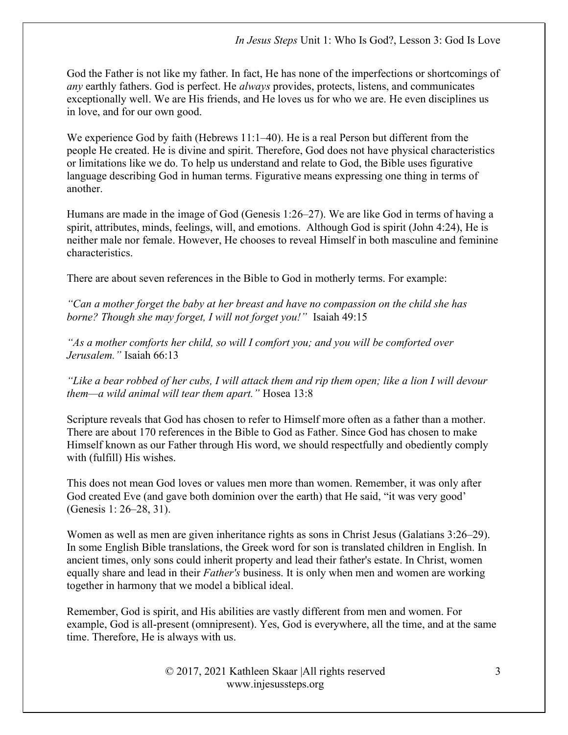God the Father is not like my father. In fact, He has none of the imperfections or shortcomings of any earthly fathers. God is perfect. He always provides, protects, listens, and communicates exceptionally well. We are His friends, and He loves us for who we are. He even disciplines us in love, and for our own good.

We experience God by faith (Hebrews 11:1–40). He is a real Person but different from the people He created. He is divine and spirit. Therefore, God does not have physical characteristics or limitations like we do. To help us understand and relate to God, the Bible uses figurative language describing God in human terms. Figurative means expressing one thing in terms of another.

Humans are made in the image of God (Genesis 1:26–27). We are like God in terms of having a spirit, attributes, minds, feelings, will, and emotions. Although God is spirit (John 4:24), He is neither male nor female. However, He chooses to reveal Himself in both masculine and feminine characteristics.

There are about seven references in the Bible to God in motherly terms. For example:

"Can a mother forget the baby at her breast and have no compassion on the child she has borne? Though she may forget, I will not forget you!" Isaiah 49:15

"As a mother comforts her child, so will I comfort you; and you will be comforted over Jerusalem." Isaiah 66:13

"Like a bear robbed of her cubs, I will attack them and rip them open; like a lion I will devour them—a wild animal will tear them apart." Hosea 13:8

Scripture reveals that God has chosen to refer to Himself more often as a father than a mother. There are about 170 references in the Bible to God as Father. Since God has chosen to make Himself known as our Father through His word, we should respectfully and obediently comply with (fulfill) His wishes.

This does not mean God loves or values men more than women. Remember, it was only after God created Eve (and gave both dominion over the earth) that He said, "it was very good' (Genesis 1: 26–28, 31).

Women as well as men are given inheritance rights as sons in Christ Jesus (Galatians 3:26–29). In some English Bible translations, the Greek word for son is translated children in English. In ancient times, only sons could inherit property and lead their father's estate. In Christ, women equally share and lead in their *Father's* business. It is only when men and women are working together in harmony that we model a biblical ideal.

Remember, God is spirit, and His abilities are vastly different from men and women. For example, God is all-present (omnipresent). Yes, God is everywhere, all the time, and at the same time. Therefore, He is always with us.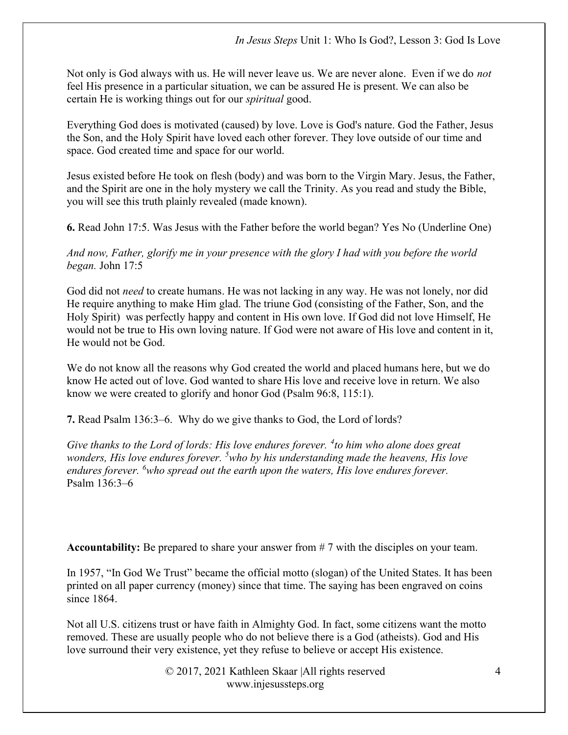Not only is God always with us. He will never leave us. We are never alone. Even if we do *not* feel His presence in a particular situation, we can be assured He is present. We can also be certain He is working things out for our spiritual good.

Everything God does is motivated (caused) by love. Love is God's nature. God the Father, Jesus the Son, and the Holy Spirit have loved each other forever. They love outside of our time and space. God created time and space for our world.

Jesus existed before He took on flesh (body) and was born to the Virgin Mary. Jesus, the Father, and the Spirit are one in the holy mystery we call the Trinity. As you read and study the Bible, you will see this truth plainly revealed (made known).

6. Read John 17:5. Was Jesus with the Father before the world began? Yes No (Underline One)

And now, Father, glorify me in your presence with the glory I had with you before the world began. John 17:5

God did not *need* to create humans. He was not lacking in any way. He was not lonely, nor did He require anything to make Him glad. The triune God (consisting of the Father, Son, and the Holy Spirit) was perfectly happy and content in His own love. If God did not love Himself, He would not be true to His own loving nature. If God were not aware of His love and content in it, He would not be God.

We do not know all the reasons why God created the world and placed humans here, but we do know He acted out of love. God wanted to share His love and receive love in return. We also know we were created to glorify and honor God (Psalm 96:8, 115:1).

7. Read Psalm 136:3–6. Why do we give thanks to God, the Lord of lords?

Give thanks to the Lord of lords: His love endures forever.  $4$ to him who alone does great wonders, His love endures forever.  $5$  who by his understanding made the heavens, His love endures forever.  $6$  who spread out the earth upon the waters, His love endures forever. Psalm 136:3–6

Accountability: Be prepared to share your answer from # 7 with the disciples on your team.

In 1957, "In God We Trust" became the official motto (slogan) of the United States. It has been printed on all paper currency (money) since that time. The saying has been engraved on coins since 1864.

Not all U.S. citizens trust or have faith in Almighty God. In fact, some citizens want the motto removed. These are usually people who do not believe there is a God (atheists). God and His love surround their very existence, yet they refuse to believe or accept His existence.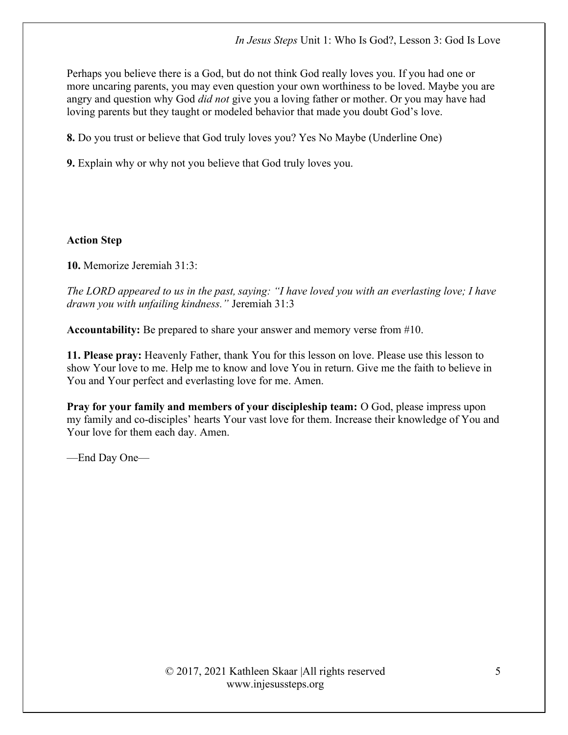Perhaps you believe there is a God, but do not think God really loves you. If you had one or more uncaring parents, you may even question your own worthiness to be loved. Maybe you are angry and question why God *did not* give you a loving father or mother. Or you may have had loving parents but they taught or modeled behavior that made you doubt God's love.

8. Do you trust or believe that God truly loves you? Yes No Maybe (Underline One)

9. Explain why or why not you believe that God truly loves you.

#### Action Step

10. Memorize Jeremiah 31:3:

The LORD appeared to us in the past, saying: "I have loved you with an everlasting love; I have drawn you with unfailing kindness." Jeremiah 31:3

Accountability: Be prepared to share your answer and memory verse from #10.

11. Please pray: Heavenly Father, thank You for this lesson on love. Please use this lesson to show Your love to me. Help me to know and love You in return. Give me the faith to believe in You and Your perfect and everlasting love for me. Amen.

Pray for your family and members of your discipleship team: O God, please impress upon my family and co-disciples' hearts Your vast love for them. Increase their knowledge of You and Your love for them each day. Amen.

—End Day One—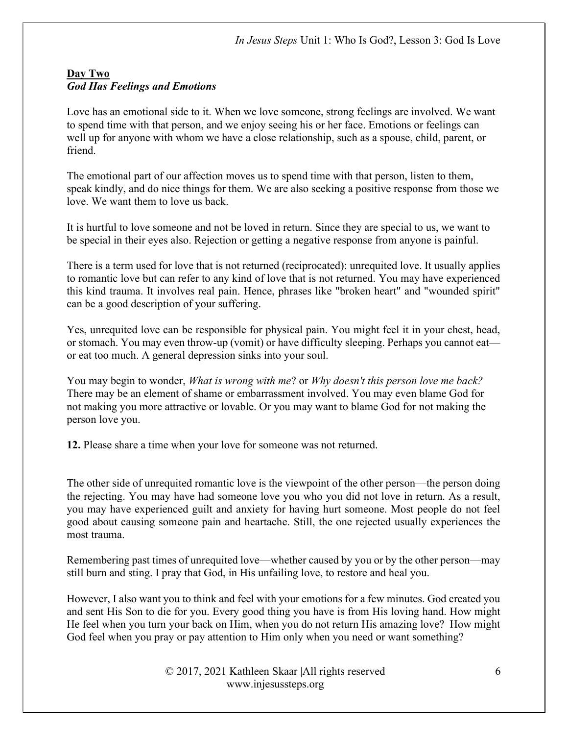# Day Two God Has Feelings and Emotions

Love has an emotional side to it. When we love someone, strong feelings are involved. We want to spend time with that person, and we enjoy seeing his or her face. Emotions or feelings can well up for anyone with whom we have a close relationship, such as a spouse, child, parent, or friend.

The emotional part of our affection moves us to spend time with that person, listen to them, speak kindly, and do nice things for them. We are also seeking a positive response from those we love. We want them to love us back.

It is hurtful to love someone and not be loved in return. Since they are special to us, we want to be special in their eyes also. Rejection or getting a negative response from anyone is painful.

There is a term used for love that is not returned (reciprocated): unrequited love. It usually applies to romantic love but can refer to any kind of love that is not returned. You may have experienced this kind trauma. It involves real pain. Hence, phrases like "broken heart" and "wounded spirit" can be a good description of your suffering.

Yes, unrequited love can be responsible for physical pain. You might feel it in your chest, head, or stomach. You may even throw-up (vomit) or have difficulty sleeping. Perhaps you cannot eat or eat too much. A general depression sinks into your soul.

You may begin to wonder, What is wrong with me? or Why doesn't this person love me back? There may be an element of shame or embarrassment involved. You may even blame God for not making you more attractive or lovable. Or you may want to blame God for not making the person love you.

12. Please share a time when your love for someone was not returned.

The other side of unrequited romantic love is the viewpoint of the other person—the person doing the rejecting. You may have had someone love you who you did not love in return. As a result, you may have experienced guilt and anxiety for having hurt someone. Most people do not feel good about causing someone pain and heartache. Still, the one rejected usually experiences the most trauma.

Remembering past times of unrequited love—whether caused by you or by the other person—may still burn and sting. I pray that God, in His unfailing love, to restore and heal you.

However, I also want you to think and feel with your emotions for a few minutes. God created you and sent His Son to die for you. Every good thing you have is from His loving hand. How might He feel when you turn your back on Him, when you do not return His amazing love? How might God feel when you pray or pay attention to Him only when you need or want something?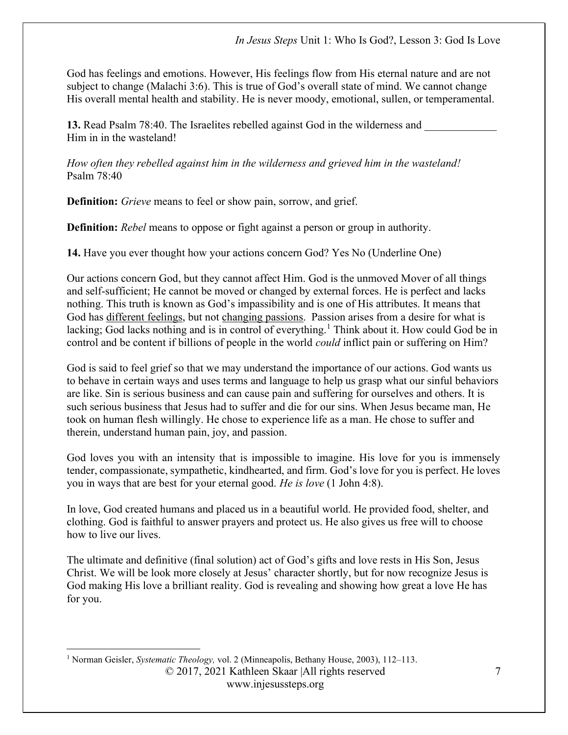God has feelings and emotions. However, His feelings flow from His eternal nature and are not subject to change (Malachi 3:6). This is true of God's overall state of mind. We cannot change His overall mental health and stability. He is never moody, emotional, sullen, or temperamental.

13. Read Psalm 78:40. The Israelites rebelled against God in the wilderness and Him in in the wasteland!

How often they rebelled against him in the wilderness and grieved him in the wasteland! Psalm 78:40

Definition: Grieve means to feel or show pain, sorrow, and grief.

**Definition:** *Rebel* means to oppose or fight against a person or group in authority.

14. Have you ever thought how your actions concern God? Yes No (Underline One)

Our actions concern God, but they cannot affect Him. God is the unmoved Mover of all things and self-sufficient; He cannot be moved or changed by external forces. He is perfect and lacks nothing. This truth is known as God's impassibility and is one of His attributes. It means that God has different feelings, but not changing passions. Passion arises from a desire for what is lacking; God lacks nothing and is in control of everything.<sup>1</sup> Think about it. How could God be in control and be content if billions of people in the world could inflict pain or suffering on Him?

God is said to feel grief so that we may understand the importance of our actions. God wants us to behave in certain ways and uses terms and language to help us grasp what our sinful behaviors are like. Sin is serious business and can cause pain and suffering for ourselves and others. It is such serious business that Jesus had to suffer and die for our sins. When Jesus became man, He took on human flesh willingly. He chose to experience life as a man. He chose to suffer and therein, understand human pain, joy, and passion.

God loves you with an intensity that is impossible to imagine. His love for you is immensely tender, compassionate, sympathetic, kindhearted, and firm. God's love for you is perfect. He loves you in ways that are best for your eternal good. He is love (1 John 4:8).

In love, God created humans and placed us in a beautiful world. He provided food, shelter, and clothing. God is faithful to answer prayers and protect us. He also gives us free will to choose how to live our lives.

The ultimate and definitive (final solution) act of God's gifts and love rests in His Son, Jesus Christ. We will be look more closely at Jesus' character shortly, but for now recognize Jesus is God making His love a brilliant reality. God is revealing and showing how great a love He has for you.

© 2017, 2021 Kathleen Skaar |All rights reserved <sup>1</sup> Norman Geisler, Systematic Theology, vol. 2 (Minneapolis, Bethany House, 2003), 112–113.

www.injesussteps.org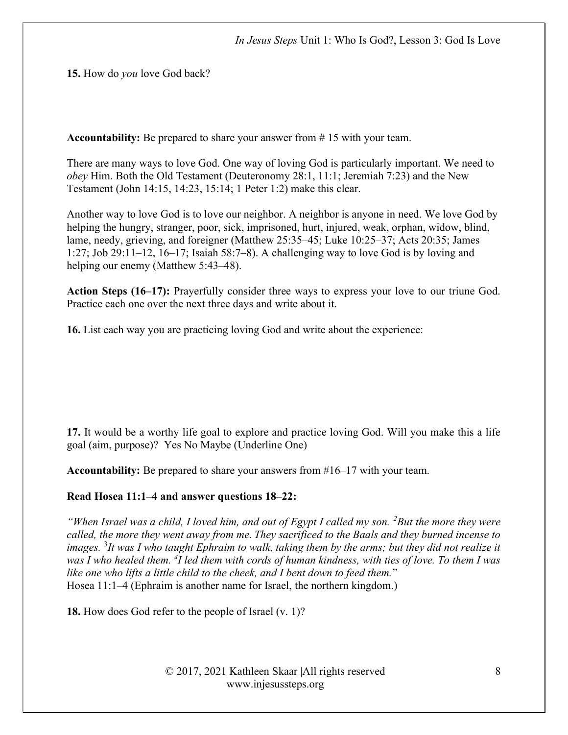15. How do you love God back?

Accountability: Be prepared to share your answer from # 15 with your team.

There are many ways to love God. One way of loving God is particularly important. We need to obey Him. Both the Old Testament (Deuteronomy 28:1, 11:1; Jeremiah 7:23) and the New Testament (John 14:15, 14:23, 15:14; 1 Peter 1:2) make this clear.

Another way to love God is to love our neighbor. A neighbor is anyone in need. We love God by helping the hungry, stranger, poor, sick, imprisoned, hurt, injured, weak, orphan, widow, blind, lame, needy, grieving, and foreigner (Matthew 25:35–45; Luke 10:25–37; Acts 20:35; James 1:27; Job 29:11–12, 16–17; Isaiah 58:7–8). A challenging way to love God is by loving and helping our enemy (Matthew 5:43–48).

Action Steps (16–17): Prayerfully consider three ways to express your love to our triune God. Practice each one over the next three days and write about it.

16. List each way you are practicing loving God and write about the experience:

17. It would be a worthy life goal to explore and practice loving God. Will you make this a life goal (aim, purpose)? Yes No Maybe (Underline One)

Accountability: Be prepared to share your answers from #16–17 with your team.

#### Read Hosea 11:1–4 and answer questions 18–22:

"When Israel was a child, I loved him, and out of Egypt I called my son.  ${}^{2}$ But the more they were called, the more they went away from me. They sacrificed to the Baals and they burned incense to images.  ${}^{3}$ It was I who taught Ephraim to walk, taking them by the arms; but they did not realize it was I who healed them.  ${}^{4}I$  led them with cords of human kindness, with ties of love. To them I was like one who lifts a little child to the cheek, and I bent down to feed them." Hosea 11:1–4 (Ephraim is another name for Israel, the northern kingdom.)

18. How does God refer to the people of Israel (v. 1)?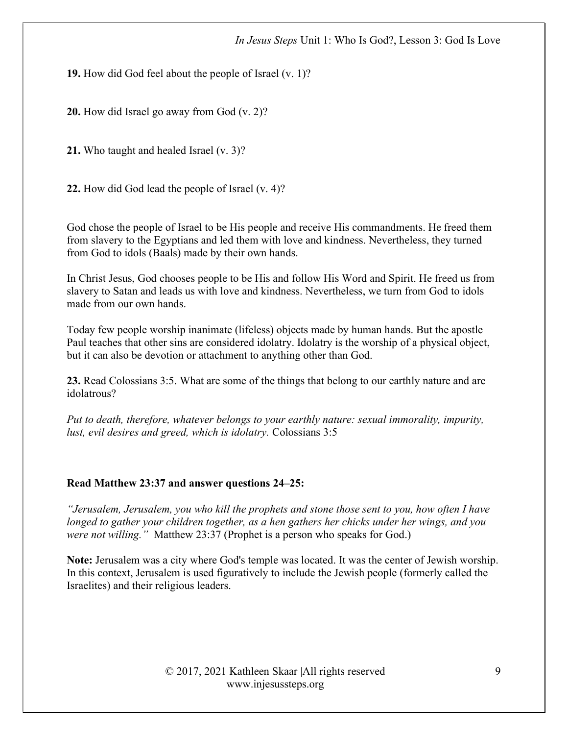19. How did God feel about the people of Israel (v. 1)?

20. How did Israel go away from God (v. 2)?

21. Who taught and healed Israel (v. 3)?

22. How did God lead the people of Israel (v. 4)?

God chose the people of Israel to be His people and receive His commandments. He freed them from slavery to the Egyptians and led them with love and kindness. Nevertheless, they turned from God to idols (Baals) made by their own hands.

In Christ Jesus, God chooses people to be His and follow His Word and Spirit. He freed us from slavery to Satan and leads us with love and kindness. Nevertheless, we turn from God to idols made from our own hands.

Today few people worship inanimate (lifeless) objects made by human hands. But the apostle Paul teaches that other sins are considered idolatry. Idolatry is the worship of a physical object, but it can also be devotion or attachment to anything other than God.

23. Read Colossians 3:5. What are some of the things that belong to our earthly nature and are idolatrous?

Put to death, therefore, whatever belongs to your earthly nature: sexual immorality, impurity, lust, evil desires and greed, which is idolatry. Colossians 3:5

# Read Matthew 23:37 and answer questions 24–25:

"Jerusalem, Jerusalem, you who kill the prophets and stone those sent to you, how often I have longed to gather your children together, as a hen gathers her chicks under her wings, and you were not willing." Matthew 23:37 (Prophet is a person who speaks for God.)

Note: Jerusalem was a city where God's temple was located. It was the center of Jewish worship. In this context, Jerusalem is used figuratively to include the Jewish people (formerly called the Israelites) and their religious leaders.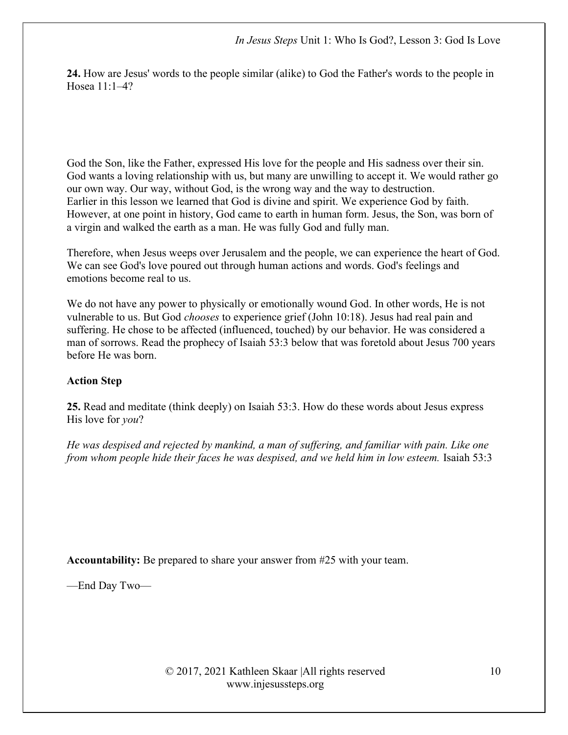24. How are Jesus' words to the people similar (alike) to God the Father's words to the people in Hosea 11:1–4?

God the Son, like the Father, expressed His love for the people and His sadness over their sin. God wants a loving relationship with us, but many are unwilling to accept it. We would rather go our own way. Our way, without God, is the wrong way and the way to destruction. Earlier in this lesson we learned that God is divine and spirit. We experience God by faith. However, at one point in history, God came to earth in human form. Jesus, the Son, was born of a virgin and walked the earth as a man. He was fully God and fully man.

Therefore, when Jesus weeps over Jerusalem and the people, we can experience the heart of God. We can see God's love poured out through human actions and words. God's feelings and emotions become real to us.

We do not have any power to physically or emotionally wound God. In other words, He is not vulnerable to us. But God chooses to experience grief (John 10:18). Jesus had real pain and suffering. He chose to be affected (influenced, touched) by our behavior. He was considered a man of sorrows. Read the prophecy of Isaiah 53:3 below that was foretold about Jesus 700 years before He was born.

# Action Step

25. Read and meditate (think deeply) on Isaiah 53:3. How do these words about Jesus express His love for you?

He was despised and rejected by mankind, a man of suffering, and familiar with pain. Like one from whom people hide their faces he was despised, and we held him in low esteem. Isaiah 53:3

Accountability: Be prepared to share your answer from #25 with your team.

—End Day Two—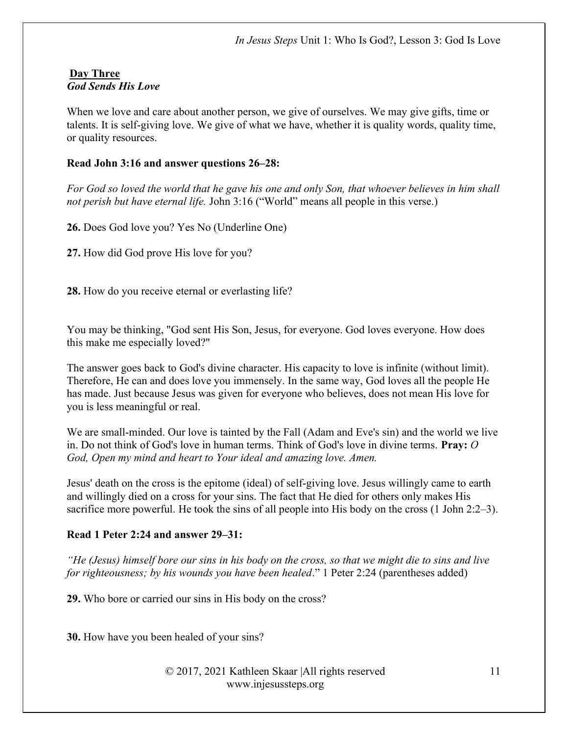#### Day Three God Sends His Love

When we love and care about another person, we give of ourselves. We may give gifts, time or talents. It is self-giving love. We give of what we have, whether it is quality words, quality time, or quality resources.

# Read John 3:16 and answer questions 26–28:

For God so loved the world that he gave his one and only Son, that whoever believes in him shall not perish but have eternal life. John 3:16 ("World" means all people in this verse.)

26. Does God love you? Yes No (Underline One)

27. How did God prove His love for you?

28. How do you receive eternal or everlasting life?

You may be thinking, "God sent His Son, Jesus, for everyone. God loves everyone. How does this make me especially loved?"

The answer goes back to God's divine character. His capacity to love is infinite (without limit). Therefore, He can and does love you immensely. In the same way, God loves all the people He has made. Just because Jesus was given for everyone who believes, does not mean His love for you is less meaningful or real.

We are small-minded. Our love is tainted by the Fall (Adam and Eve's sin) and the world we live in. Do not think of God's love in human terms. Think of God's love in divine terms. Pray: O God, Open my mind and heart to Your ideal and amazing love. Amen.

Jesus' death on the cross is the epitome (ideal) of self-giving love. Jesus willingly came to earth and willingly died on a cross for your sins. The fact that He died for others only makes His sacrifice more powerful. He took the sins of all people into His body on the cross (1 John 2:2–3).

# Read 1 Peter 2:24 and answer 29–31:

"He (Jesus) himself bore our sins in his body on the cross, so that we might die to sins and live for righteousness; by his wounds you have been healed." 1 Peter 2:24 (parentheses added)

29. Who bore or carried our sins in His body on the cross?

30. How have you been healed of your sins?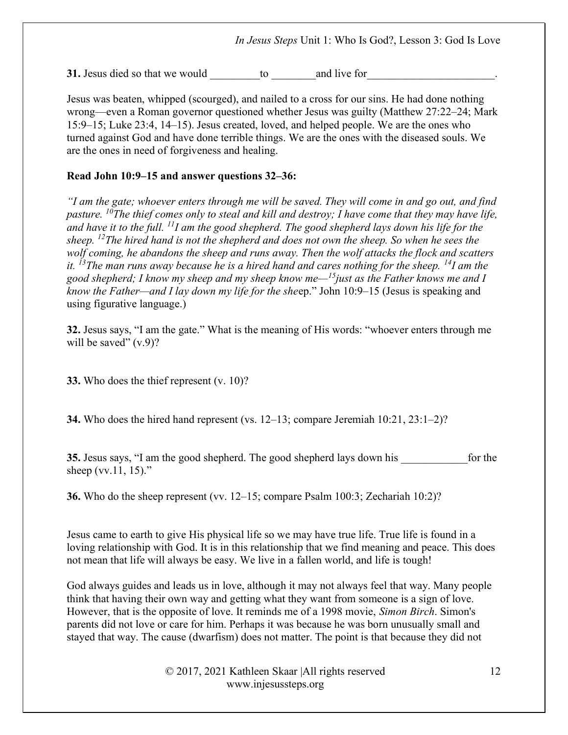31. Jesus died so that we would b  $\Box$  to and live for

Jesus was beaten, whipped (scourged), and nailed to a cross for our sins. He had done nothing wrong—even a Roman governor questioned whether Jesus was guilty (Matthew 27:22–24; Mark 15:9–15; Luke 23:4, 14–15). Jesus created, loved, and helped people. We are the ones who turned against God and have done terrible things. We are the ones with the diseased souls. We are the ones in need of forgiveness and healing.

### Read John 10:9–15 and answer questions 32–36:

"I am the gate; whoever enters through me will be saved. They will come in and go out, and find pasture. <sup>10</sup>The thief comes only to steal and kill and destroy; I have come that they may have life, and have it to the full.  $^{11}I$  am the good shepherd. The good shepherd lays down his life for the sheep.  $^{12}$ The hired hand is not the shepherd and does not own the sheep. So when he sees the wolf coming, he abandons the sheep and runs away. Then the wolf attacks the flock and scatters it.  $^{13}$ The man runs away because he is a hired hand and cares nothing for the sheep.  $^{14}$ I am the good shepherd; I know my sheep and my sheep know me— $^{15}$ just as the Father knows me and I know the Father—and I lay down my life for the sheep." John 10:9–15 (Jesus is speaking and using figurative language.)

32. Jesus says, "I am the gate." What is the meaning of His words: "whoever enters through me will be saved"  $(v.9)$ ?

33. Who does the thief represent (v. 10)?

34. Who does the hired hand represent (vs. 12–13; compare Jeremiah 10:21, 23:1–2)?

35. Jesus says, "I am the good shepherd. The good shepherd lays down his for the sheep (vv.11, 15)."

36. Who do the sheep represent (vv. 12–15; compare Psalm 100:3; Zechariah 10:2)?

Jesus came to earth to give His physical life so we may have true life. True life is found in a loving relationship with God. It is in this relationship that we find meaning and peace. This does not mean that life will always be easy. We live in a fallen world, and life is tough!

God always guides and leads us in love, although it may not always feel that way. Many people think that having their own way and getting what they want from someone is a sign of love. However, that is the opposite of love. It reminds me of a 1998 movie, Simon Birch. Simon's parents did not love or care for him. Perhaps it was because he was born unusually small and stayed that way. The cause (dwarfism) does not matter. The point is that because they did not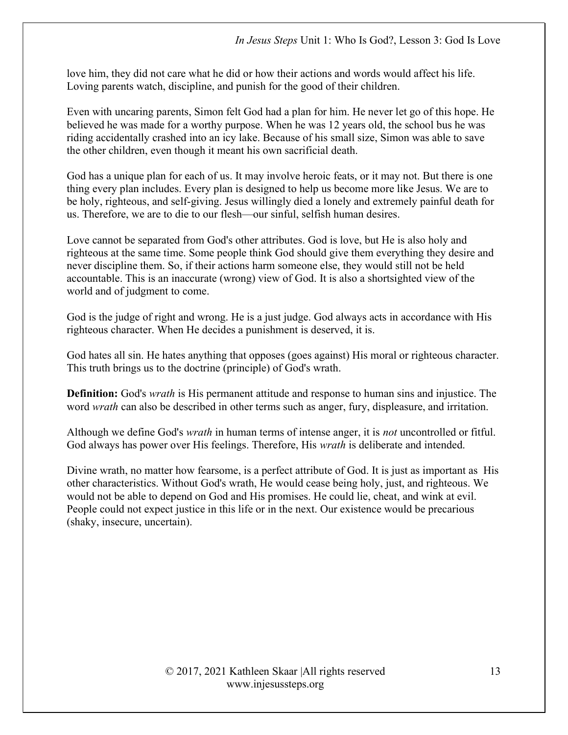love him, they did not care what he did or how their actions and words would affect his life. Loving parents watch, discipline, and punish for the good of their children.

Even with uncaring parents, Simon felt God had a plan for him. He never let go of this hope. He believed he was made for a worthy purpose. When he was 12 years old, the school bus he was riding accidentally crashed into an icy lake. Because of his small size, Simon was able to save the other children, even though it meant his own sacrificial death.

God has a unique plan for each of us. It may involve heroic feats, or it may not. But there is one thing every plan includes. Every plan is designed to help us become more like Jesus. We are to be holy, righteous, and self-giving. Jesus willingly died a lonely and extremely painful death for us. Therefore, we are to die to our flesh—our sinful, selfish human desires.

Love cannot be separated from God's other attributes. God is love, but He is also holy and righteous at the same time. Some people think God should give them everything they desire and never discipline them. So, if their actions harm someone else, they would still not be held accountable. This is an inaccurate (wrong) view of God. It is also a shortsighted view of the world and of judgment to come.

God is the judge of right and wrong. He is a just judge. God always acts in accordance with His righteous character. When He decides a punishment is deserved, it is.

God hates all sin. He hates anything that opposes (goes against) His moral or righteous character. This truth brings us to the doctrine (principle) of God's wrath.

**Definition:** God's *wrath* is His permanent attitude and response to human sins and injustice. The word *wrath* can also be described in other terms such as anger, fury, displeasure, and irritation.

Although we define God's wrath in human terms of intense anger, it is not uncontrolled or fitful. God always has power over His feelings. Therefore, His *wrath* is deliberate and intended.

Divine wrath, no matter how fearsome, is a perfect attribute of God. It is just as important as His other characteristics. Without God's wrath, He would cease being holy, just, and righteous. We would not be able to depend on God and His promises. He could lie, cheat, and wink at evil. People could not expect justice in this life or in the next. Our existence would be precarious (shaky, insecure, uncertain).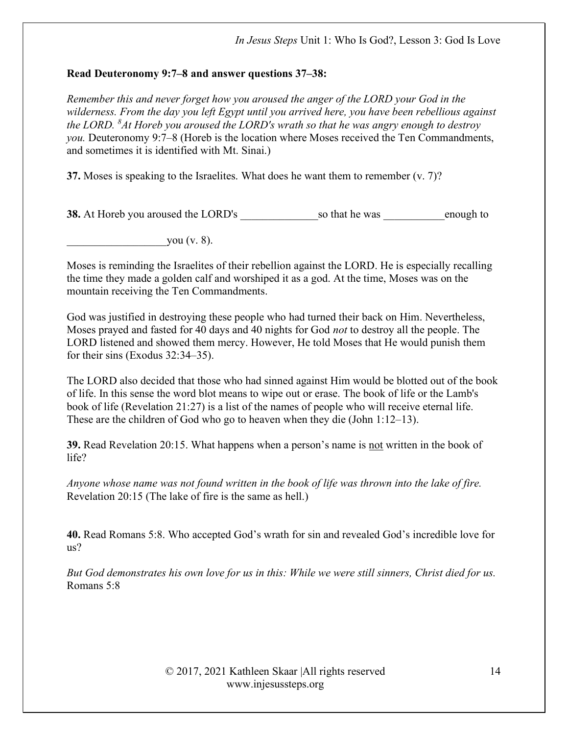# Read Deuteronomy 9:7–8 and answer questions 37–38:

Remember this and never forget how you aroused the anger of the LORD your God in the wilderness. From the day you left Egypt until you arrived here, you have been rebellious against the LORD.  ${}^{8}$ At Horeb you aroused the LORD's wrath so that he was angry enough to destroy you. Deuteronomy 9:7–8 (Horeb is the location where Moses received the Ten Commandments, and sometimes it is identified with Mt. Sinai.)

37. Moses is speaking to the Israelites. What does he want them to remember  $(v, 7)$ ?

38. At Horeb you aroused the LORD's so that he was enough to

you  $(v. 8)$ .

Moses is reminding the Israelites of their rebellion against the LORD. He is especially recalling the time they made a golden calf and worshiped it as a god. At the time, Moses was on the mountain receiving the Ten Commandments.

God was justified in destroying these people who had turned their back on Him. Nevertheless, Moses prayed and fasted for 40 days and 40 nights for God not to destroy all the people. The LORD listened and showed them mercy. However, He told Moses that He would punish them for their sins (Exodus 32:34–35).

The LORD also decided that those who had sinned against Him would be blotted out of the book of life. In this sense the word blot means to wipe out or erase. The book of life or the Lamb's book of life (Revelation 21:27) is a list of the names of people who will receive eternal life. These are the children of God who go to heaven when they die (John 1:12–13).

39. Read Revelation 20:15. What happens when a person's name is not written in the book of life?

Anyone whose name was not found written in the book of life was thrown into the lake of fire. Revelation 20:15 (The lake of fire is the same as hell.)

40. Read Romans 5:8. Who accepted God's wrath for sin and revealed God's incredible love for us?

But God demonstrates his own love for us in this: While we were still sinners, Christ died for us. Romans 5:8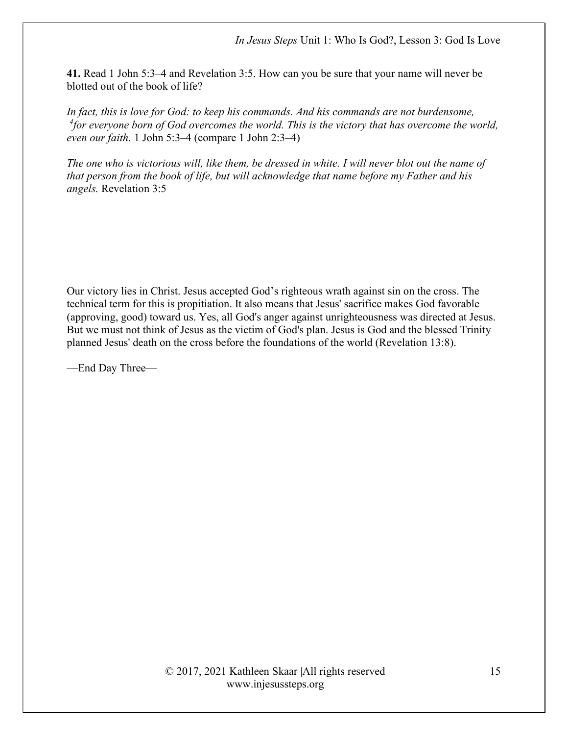41. Read 1 John 5:3–4 and Revelation 3:5. How can you be sure that your name will never be blotted out of the book of life?

In fact, this is love for God: to keep his commands. And his commands are not burdensome,  $^{4}$ for everyone born of God overcomes the world. This is the victory that has overcome the world, even our faith. 1 John 5:3–4 (compare 1 John 2:3–4)

The one who is victorious will, like them, be dressed in white. I will never blot out the name of that person from the book of life, but will acknowledge that name before my Father and his angels. Revelation 3:5

Our victory lies in Christ. Jesus accepted God's righteous wrath against sin on the cross. The technical term for this is propitiation. It also means that Jesus' sacrifice makes God favorable (approving, good) toward us. Yes, all God's anger against unrighteousness was directed at Jesus. But we must not think of Jesus as the victim of God's plan. Jesus is God and the blessed Trinity planned Jesus' death on the cross before the foundations of the world (Revelation 13:8).

—End Day Three—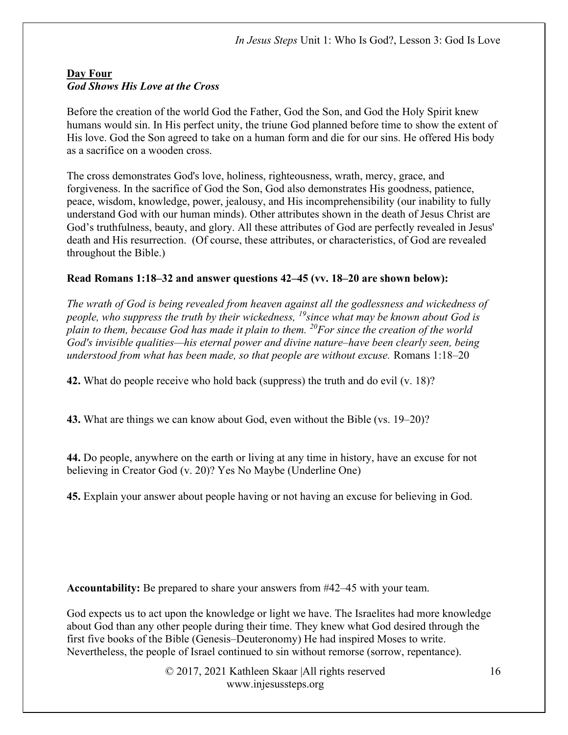# Day Four God Shows His Love at the Cross

Before the creation of the world God the Father, God the Son, and God the Holy Spirit knew humans would sin. In His perfect unity, the triune God planned before time to show the extent of His love. God the Son agreed to take on a human form and die for our sins. He offered His body as a sacrifice on a wooden cross.

The cross demonstrates God's love, holiness, righteousness, wrath, mercy, grace, and forgiveness. In the sacrifice of God the Son, God also demonstrates His goodness, patience, peace, wisdom, knowledge, power, jealousy, and His incomprehensibility (our inability to fully understand God with our human minds). Other attributes shown in the death of Jesus Christ are God's truthfulness, beauty, and glory. All these attributes of God are perfectly revealed in Jesus' death and His resurrection. (Of course, these attributes, or characteristics, of God are revealed throughout the Bible.)

# Read Romans 1:18–32 and answer questions 42–45 (vv. 18–20 are shown below):

The wrath of God is being revealed from heaven against all the godlessness and wickedness of people, who suppress the truth by their wickedness,  $^{19}$ since what may be known about God is plain to them, because God has made it plain to them.  $^{20}$ For since the creation of the world God's invisible qualities—his eternal power and divine nature–have been clearly seen, being understood from what has been made, so that people are without excuse. Romans 1:18–20

42. What do people receive who hold back (suppress) the truth and do evil (v. 18)?

43. What are things we can know about God, even without the Bible (vs. 19–20)?

44. Do people, anywhere on the earth or living at any time in history, have an excuse for not believing in Creator God (v. 20)? Yes No Maybe (Underline One)

45. Explain your answer about people having or not having an excuse for believing in God.

Accountability: Be prepared to share your answers from #42–45 with your team.

God expects us to act upon the knowledge or light we have. The Israelites had more knowledge about God than any other people during their time. They knew what God desired through the first five books of the Bible (Genesis–Deuteronomy) He had inspired Moses to write. Nevertheless, the people of Israel continued to sin without remorse (sorrow, repentance).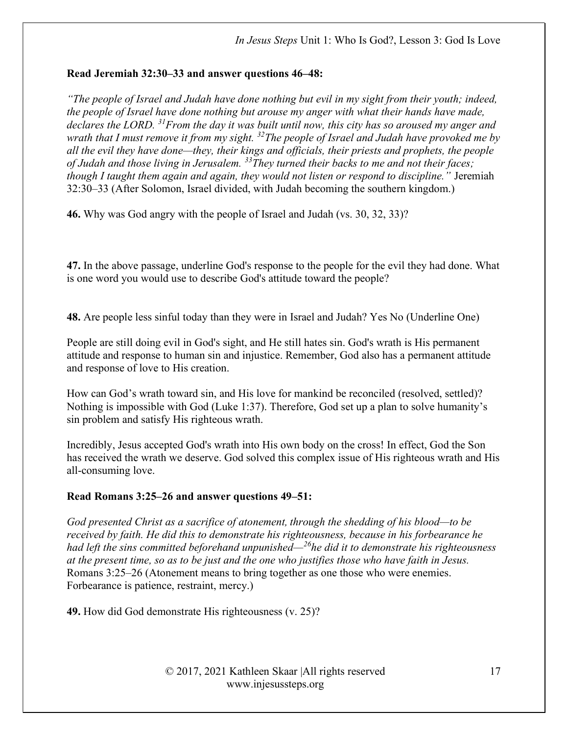# Read Jeremiah 32:30–33 and answer questions 46–48:

"The people of Israel and Judah have done nothing but evil in my sight from their youth; indeed, the people of Israel have done nothing but arouse my anger with what their hands have made, declares the LORD.  $31$  From the day it was built until now, this city has so aroused my anger and wrath that I must remove it from my sight.  $32$  The people of Israel and Judah have provoked me by all the evil they have done—they, their kings and officials, their priests and prophets, the people of Judah and those living in Jerusalem.  $33$ They turned their backs to me and not their faces; though I taught them again and again, they would not listen or respond to discipline." Jeremiah 32:30–33 (After Solomon, Israel divided, with Judah becoming the southern kingdom.)

46. Why was God angry with the people of Israel and Judah (vs. 30, 32, 33)?

47. In the above passage, underline God's response to the people for the evil they had done. What is one word you would use to describe God's attitude toward the people?

48. Are people less sinful today than they were in Israel and Judah? Yes No (Underline One)

People are still doing evil in God's sight, and He still hates sin. God's wrath is His permanent attitude and response to human sin and injustice. Remember, God also has a permanent attitude and response of love to His creation.

How can God's wrath toward sin, and His love for mankind be reconciled (resolved, settled)? Nothing is impossible with God (Luke 1:37). Therefore, God set up a plan to solve humanity's sin problem and satisfy His righteous wrath.

Incredibly, Jesus accepted God's wrath into His own body on the cross! In effect, God the Son has received the wrath we deserve. God solved this complex issue of His righteous wrath and His all-consuming love.

# Read Romans 3:25–26 and answer questions 49–51:

God presented Christ as a sacrifice of atonement, through the shedding of his blood—to be received by faith. He did this to demonstrate his righteousness, because in his forbearance he had left the sins committed beforehand unpunished— $^{26}$ he did it to demonstrate his righteousness at the present time, so as to be just and the one who justifies those who have faith in Jesus. Romans 3:25–26 (Atonement means to bring together as one those who were enemies. Forbearance is patience, restraint, mercy.)

49. How did God demonstrate His righteousness (v. 25)?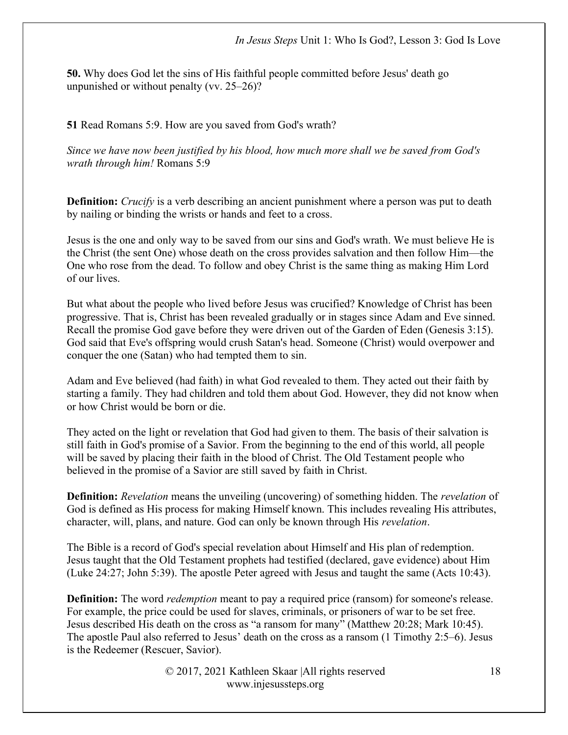50. Why does God let the sins of His faithful people committed before Jesus' death go unpunished or without penalty (vv. 25–26)?

# 51 Read Romans 5:9. How are you saved from God's wrath?

Since we have now been justified by his blood, how much more shall we be saved from God's wrath through him! Romans 5:9

**Definition:** Crucify is a verb describing an ancient punishment where a person was put to death by nailing or binding the wrists or hands and feet to a cross.

Jesus is the one and only way to be saved from our sins and God's wrath. We must believe He is the Christ (the sent One) whose death on the cross provides salvation and then follow Him—the One who rose from the dead. To follow and obey Christ is the same thing as making Him Lord of our lives.

But what about the people who lived before Jesus was crucified? Knowledge of Christ has been progressive. That is, Christ has been revealed gradually or in stages since Adam and Eve sinned. Recall the promise God gave before they were driven out of the Garden of Eden (Genesis 3:15). God said that Eve's offspring would crush Satan's head. Someone (Christ) would overpower and conquer the one (Satan) who had tempted them to sin.

Adam and Eve believed (had faith) in what God revealed to them. They acted out their faith by starting a family. They had children and told them about God. However, they did not know when or how Christ would be born or die.

They acted on the light or revelation that God had given to them. The basis of their salvation is still faith in God's promise of a Savior. From the beginning to the end of this world, all people will be saved by placing their faith in the blood of Christ. The Old Testament people who believed in the promise of a Savior are still saved by faith in Christ.

**Definition:** Revelation means the unveiling (uncovering) of something hidden. The *revelation* of God is defined as His process for making Himself known. This includes revealing His attributes, character, will, plans, and nature. God can only be known through His revelation.

The Bible is a record of God's special revelation about Himself and His plan of redemption. Jesus taught that the Old Testament prophets had testified (declared, gave evidence) about Him (Luke 24:27; John 5:39). The apostle Peter agreed with Jesus and taught the same (Acts 10:43).

Definition: The word *redemption* meant to pay a required price (ransom) for someone's release. For example, the price could be used for slaves, criminals, or prisoners of war to be set free. Jesus described His death on the cross as "a ransom for many" (Matthew 20:28; Mark 10:45). The apostle Paul also referred to Jesus' death on the cross as a ransom (1 Timothy 2:5–6). Jesus is the Redeemer (Rescuer, Savior).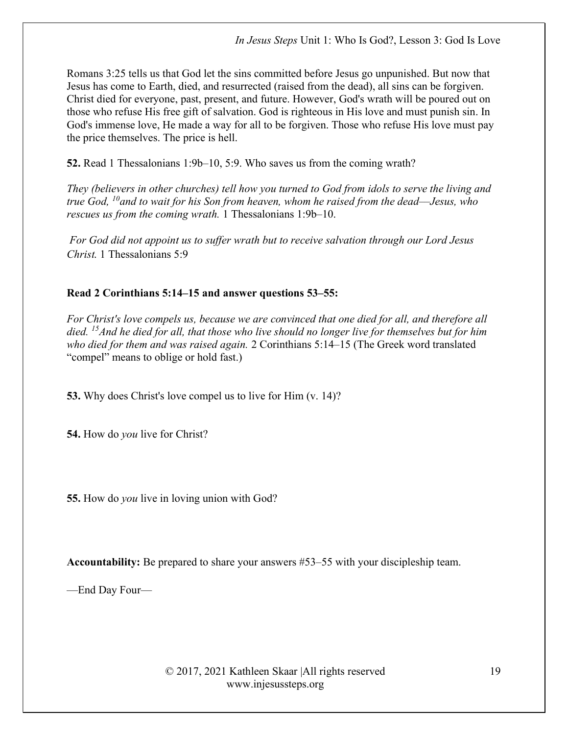Romans 3:25 tells us that God let the sins committed before Jesus go unpunished. But now that Jesus has come to Earth, died, and resurrected (raised from the dead), all sins can be forgiven. Christ died for everyone, past, present, and future. However, God's wrath will be poured out on those who refuse His free gift of salvation. God is righteous in His love and must punish sin. In God's immense love, He made a way for all to be forgiven. Those who refuse His love must pay the price themselves. The price is hell.

52. Read 1 Thessalonians 1:9b–10, 5:9. Who saves us from the coming wrath?

They (believers in other churches) tell how you turned to God from idols to serve the living and true God,  $^{10}$ and to wait for his Son from heaven, whom he raised from the dead—Jesus, who rescues us from the coming wrath. 1 Thessalonians 1:9b–10.

For God did not appoint us to suffer wrath but to receive salvation through our Lord Jesus Christ. 1 Thessalonians 5:9

# Read 2 Corinthians 5:14–15 and answer questions 53–55:

For Christ's love compels us, because we are convinced that one died for all, and therefore all died. <sup>15</sup> And he died for all, that those who live should no longer live for themselves but for him who died for them and was raised again. 2 Corinthians 5:14–15 (The Greek word translated "compel" means to oblige or hold fast.)

53. Why does Christ's love compel us to live for Him (v. 14)?

54. How do you live for Christ?

55. How do you live in loving union with God?

Accountability: Be prepared to share your answers #53–55 with your discipleship team.

—End Day Four—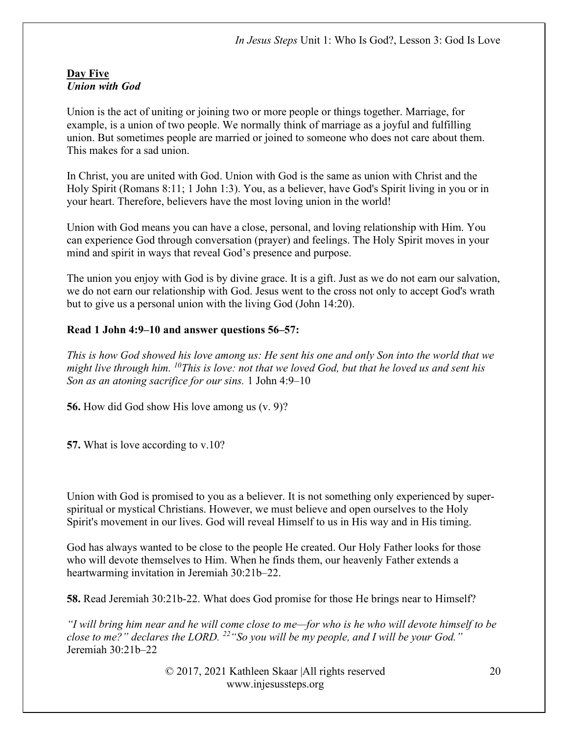#### Day Five Union with God

Union is the act of uniting or joining two or more people or things together. Marriage, for example, is a union of two people. We normally think of marriage as a joyful and fulfilling union. But sometimes people are married or joined to someone who does not care about them. This makes for a sad union.

In Christ, you are united with God. Union with God is the same as union with Christ and the Holy Spirit (Romans 8:11; 1 John 1:3). You, as a believer, have God's Spirit living in you or in your heart. Therefore, believers have the most loving union in the world!

Union with God means you can have a close, personal, and loving relationship with Him. You can experience God through conversation (prayer) and feelings. The Holy Spirit moves in your mind and spirit in ways that reveal God's presence and purpose.

The union you enjoy with God is by divine grace. It is a gift. Just as we do not earn our salvation, we do not earn our relationship with God. Jesus went to the cross not only to accept God's wrath but to give us a personal union with the living God (John 14:20).

# Read 1 John 4:9–10 and answer questions 56–57:

This is how God showed his love among us: He sent his one and only Son into the world that we might live through him.  $^{10}$ This is love: not that we loved God, but that he loved us and sent his Son as an atoning sacrifice for our sins. 1 John 4:9–10

56. How did God show His love among us (v. 9)?

57. What is love according to v.10?

Union with God is promised to you as a believer. It is not something only experienced by superspiritual or mystical Christians. However, we must believe and open ourselves to the Holy Spirit's movement in our lives. God will reveal Himself to us in His way and in His timing.

God has always wanted to be close to the people He created. Our Holy Father looks for those who will devote themselves to Him. When he finds them, our heavenly Father extends a heartwarming invitation in Jeremiah 30:21b–22.

58. Read Jeremiah 30:21b-22. What does God promise for those He brings near to Himself?

"I will bring him near and he will come close to me—for who is he who will devote himself to be close to me?" declares the LORD.  $^{22}$  "So you will be my people, and I will be your God." Jeremiah 30:21b–22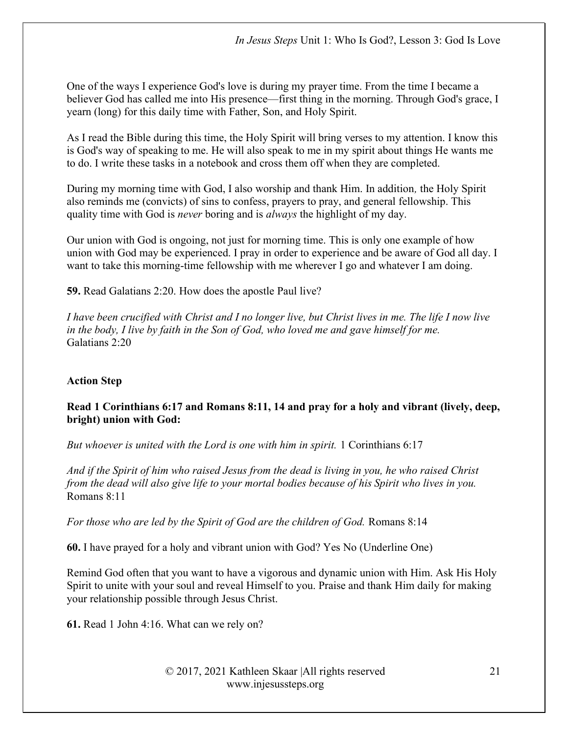One of the ways I experience God's love is during my prayer time. From the time I became a believer God has called me into His presence—first thing in the morning. Through God's grace, I yearn (long) for this daily time with Father, Son, and Holy Spirit.

As I read the Bible during this time, the Holy Spirit will bring verses to my attention. I know this is God's way of speaking to me. He will also speak to me in my spirit about things He wants me to do. I write these tasks in a notebook and cross them off when they are completed.

During my morning time with God, I also worship and thank Him. In addition, the Holy Spirit also reminds me (convicts) of sins to confess, prayers to pray, and general fellowship. This quality time with God is *never* boring and is *always* the highlight of my day.

Our union with God is ongoing, not just for morning time. This is only one example of how union with God may be experienced. I pray in order to experience and be aware of God all day. I want to take this morning-time fellowship with me wherever I go and whatever I am doing.

59. Read Galatians 2:20. How does the apostle Paul live?

I have been crucified with Christ and I no longer live, but Christ lives in me. The life I now live in the body, I live by faith in the Son of God, who loved me and gave himself for me. Galatians 2:20

# Action Step

# Read 1 Corinthians 6:17 and Romans 8:11, 14 and pray for a holy and vibrant (lively, deep, bright) union with God:

But whoever is united with the Lord is one with him in spirit. 1 Corinthians 6:17

And if the Spirit of him who raised Jesus from the dead is living in you, he who raised Christ from the dead will also give life to your mortal bodies because of his Spirit who lives in you. Romans 8:11

For those who are led by the Spirit of God are the children of God. Romans 8:14

60. I have prayed for a holy and vibrant union with God? Yes No (Underline One)

Remind God often that you want to have a vigorous and dynamic union with Him. Ask His Holy Spirit to unite with your soul and reveal Himself to you. Praise and thank Him daily for making your relationship possible through Jesus Christ.

61. Read 1 John 4:16. What can we rely on?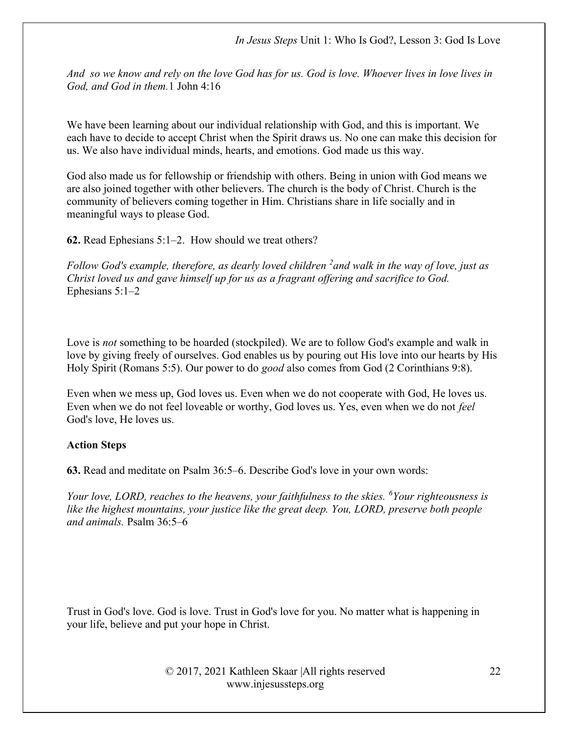And so we know and rely on the love God has for us. God is love. Whoever lives in love lives in God, and God in them.1 John 4:16

We have been learning about our individual relationship with God, and this is important. We each have to decide to accept Christ when the Spirit draws us. No one can make this decision for us. We also have individual minds, hearts, and emotions. God made us this way.

God also made us for fellowship or friendship with others. Being in union with God means we are also joined together with other believers. The church is the body of Christ. Church is the community of believers coming together in Him. Christians share in life socially and in meaningful ways to please God.

62. Read Ephesians 5:1–2. How should we treat others?

Follow God's example, therefore, as dearly loved children  $\lambda^2$  and walk in the way of love, just as Christ loved us and gave himself up for us as a fragrant offering and sacrifice to God. Ephesians 5:1–2

Love is *not* something to be hoarded (stockpiled). We are to follow God's example and walk in love by giving freely of ourselves. God enables us by pouring out His love into our hearts by His Holy Spirit (Romans 5:5). Our power to do good also comes from God (2 Corinthians 9:8).

Even when we mess up, God loves us. Even when we do not cooperate with God, He loves us. Even when we do not feel loveable or worthy, God loves us. Yes, even when we do not feel God's love, He loves us.

#### Action Steps

63. Read and meditate on Psalm 36:5–6. Describe God's love in your own words:

Your love, LORD, reaches to the heavens, your faithfulness to the skies.  $\delta$ Your righteousness is like the highest mountains, your justice like the great deep. You, LORD, preserve both people and animals. Psalm 36:5–6

Trust in God's love. God is love. Trust in God's love for you. No matter what is happening in your life, believe and put your hope in Christ.